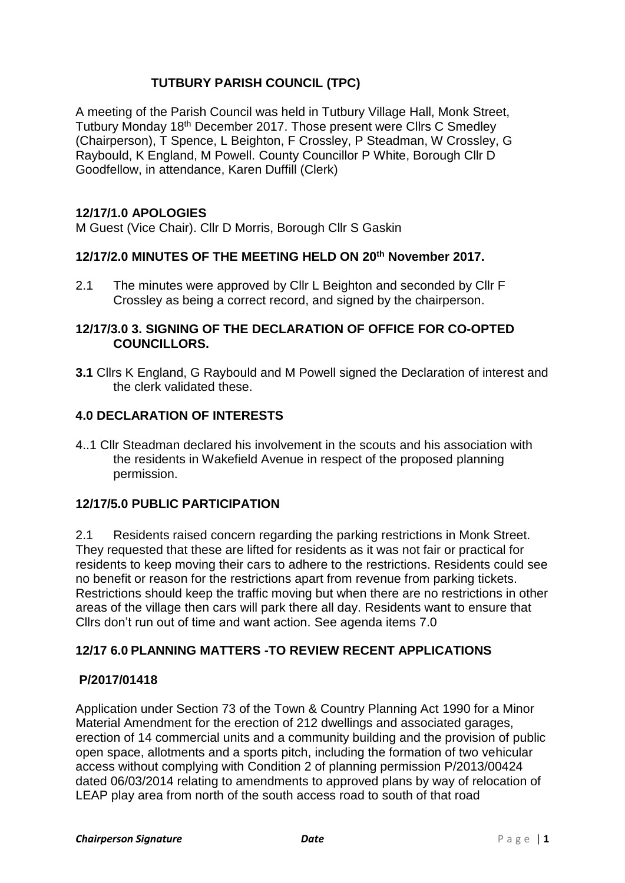# **TUTBURY PARISH COUNCIL (TPC)**

A meeting of the Parish Council was held in Tutbury Village Hall, Monk Street, Tutbury Monday 18th December 2017. Those present were Cllrs C Smedley (Chairperson), T Spence, L Beighton, F Crossley, P Steadman, W Crossley, G Raybould, K England, M Powell. County Councillor P White, Borough Cllr D Goodfellow, in attendance, Karen Duffill (Clerk)

### **12/17/1.0 APOLOGIES**

M Guest (Vice Chair). Cllr D Morris, Borough Cllr S Gaskin

# **12/17/2.0 MINUTES OF THE MEETING HELD ON 20th November 2017.**

2.1 The minutes were approved by Cllr L Beighton and seconded by Cllr F Crossley as being a correct record, and signed by the chairperson.

### **12/17/3.0 3. SIGNING OF THE DECLARATION OF OFFICE FOR CO-OPTED COUNCILLORS.**

**3.1** Cllrs K England, G Raybould and M Powell signed the Declaration of interest and the clerk validated these.

# **4.0 DECLARATION OF INTERESTS**

4..1 Cllr Steadman declared his involvement in the scouts and his association with the residents in Wakefield Avenue in respect of the proposed planning permission.

# **12/17/5.0 PUBLIC PARTICIPATION**

2.1 Residents raised concern regarding the parking restrictions in Monk Street. They requested that these are lifted for residents as it was not fair or practical for residents to keep moving their cars to adhere to the restrictions. Residents could see no benefit or reason for the restrictions apart from revenue from parking tickets. Restrictions should keep the traffic moving but when there are no restrictions in other areas of the village then cars will park there all day. Residents want to ensure that Cllrs don't run out of time and want action. See agenda items 7.0

# **12/17 6.0 PLANNING MATTERS -TO REVIEW RECENT APPLICATIONS**

### **P/2017/01418**

Application under Section 73 of the Town & Country Planning Act 1990 for a Minor Material Amendment for the erection of 212 dwellings and associated garages, erection of 14 commercial units and a community building and the provision of public open space, allotments and a sports pitch, including the formation of two vehicular access without complying with Condition 2 of planning permission P/2013/00424 dated 06/03/2014 relating to amendments to approved plans by way of relocation of LEAP play area from north of the south access road to south of that road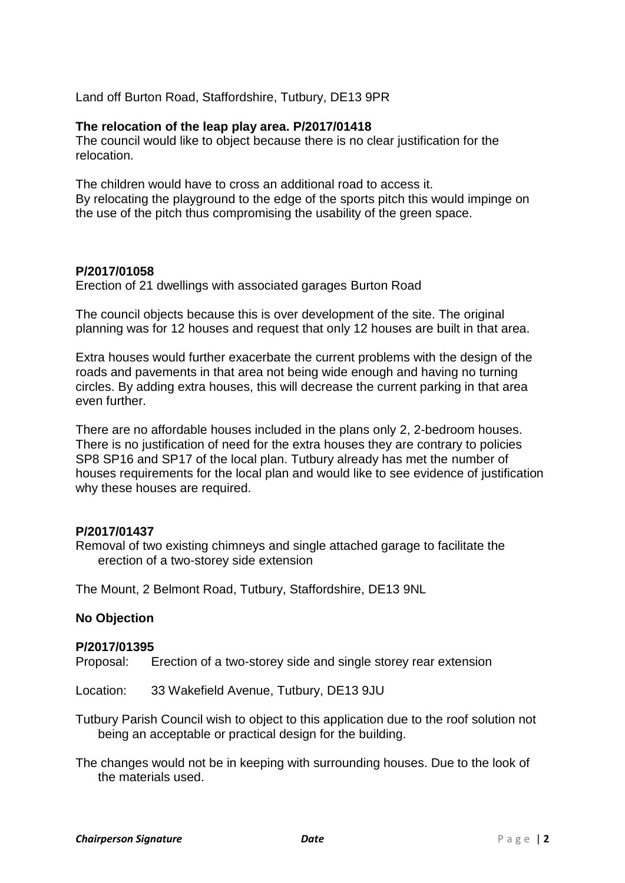Land off Burton Road, Staffordshire, Tutbury, DE13 9PR

#### **The relocation of the leap play area. P/2017/01418**

The council would like to object because there is no clear justification for the relocation.

The children would have to cross an additional road to access it. By relocating the playground to the edge of the sports pitch this would impinge on the use of the pitch thus compromising the usability of the green space.

#### **P/2017/01058**

Erection of 21 dwellings with associated garages Burton Road

The council objects because this is over development of the site. The original planning was for 12 houses and request that only 12 houses are built in that area.

Extra houses would further exacerbate the current problems with the design of the roads and pavements in that area not being wide enough and having no turning circles. By adding extra houses, this will decrease the current parking in that area even further.

There are no affordable houses included in the plans only 2, 2-bedroom houses. There is no justification of need for the extra houses they are contrary to policies SP8 SP16 and SP17 of the local plan. Tutbury already has met the number of houses requirements for the local plan and would like to see evidence of justification why these houses are required.

#### **P/2017/01437**

Removal of two existing chimneys and single attached garage to facilitate the erection of a two-storey side extension

The Mount, 2 Belmont Road, Tutbury, Staffordshire, DE13 9NL

#### **No Objection**

#### **P/2017/01395**

Proposal: Erection of a two-storey side and single storey rear extension

Location: 33 Wakefield Avenue, Tutbury, DE13 9JU

Tutbury Parish Council wish to object to this application due to the roof solution not being an acceptable or practical design for the building.

The changes would not be in keeping with surrounding houses. Due to the look of the materials used.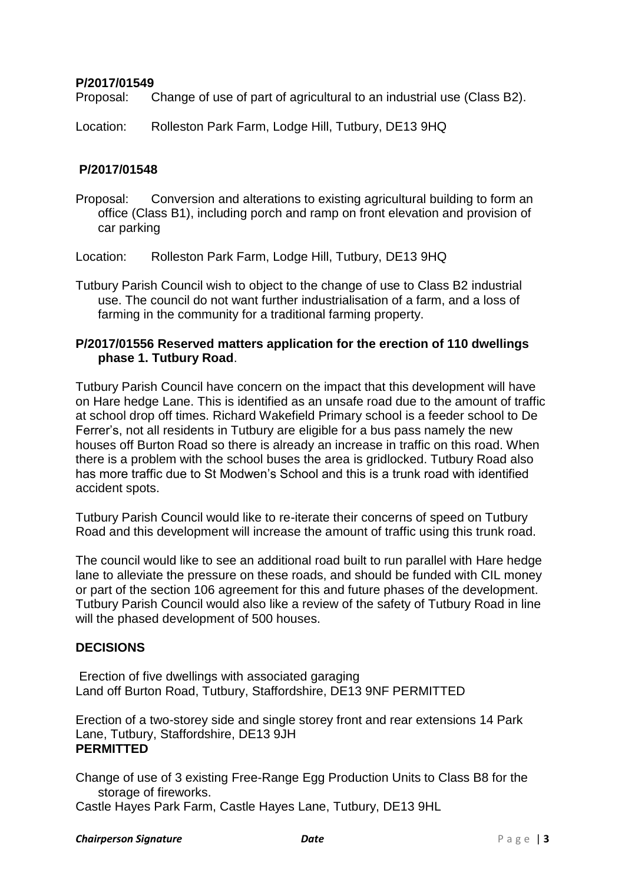#### **P/2017/01549**

Proposal: Change of use of part of agricultural to an industrial use (Class B2).

Location: Rolleston Park Farm, Lodge Hill, Tutbury, DE13 9HQ

#### **P/2017/01548**

Proposal: Conversion and alterations to existing agricultural building to form an office (Class B1), including porch and ramp on front elevation and provision of car parking

Location: Rolleston Park Farm, Lodge Hill, Tutbury, DE13 9HQ

Tutbury Parish Council wish to object to the change of use to Class B2 industrial use. The council do not want further industrialisation of a farm, and a loss of farming in the community for a traditional farming property.

### **P/2017/01556 Reserved matters application for the erection of 110 dwellings phase 1. Tutbury Road**.

Tutbury Parish Council have concern on the impact that this development will have on Hare hedge Lane. This is identified as an unsafe road due to the amount of traffic at school drop off times. Richard Wakefield Primary school is a feeder school to De Ferrer's, not all residents in Tutbury are eligible for a bus pass namely the new houses off Burton Road so there is already an increase in traffic on this road. When there is a problem with the school buses the area is gridlocked. Tutbury Road also has more traffic due to St Modwen's School and this is a trunk road with identified accident spots.

Tutbury Parish Council would like to re-iterate their concerns of speed on Tutbury Road and this development will increase the amount of traffic using this trunk road.

The council would like to see an additional road built to run parallel with Hare hedge lane to alleviate the pressure on these roads, and should be funded with CIL money or part of the section 106 agreement for this and future phases of the development. Tutbury Parish Council would also like a review of the safety of Tutbury Road in line will the phased development of 500 houses.

### **DECISIONS**

Erection of five dwellings with associated garaging Land off Burton Road, Tutbury, Staffordshire, DE13 9NF PERMITTED

Erection of a two-storey side and single storey front and rear extensions 14 Park Lane, Tutbury, Staffordshire, DE13 9JH **PERMITTED**

Change of use of 3 existing Free-Range Egg Production Units to Class B8 for the storage of fireworks. Castle Hayes Park Farm, Castle Hayes Lane, Tutbury, DE13 9HL

#### **Chairperson Signature** *Date P* **a g e | 3**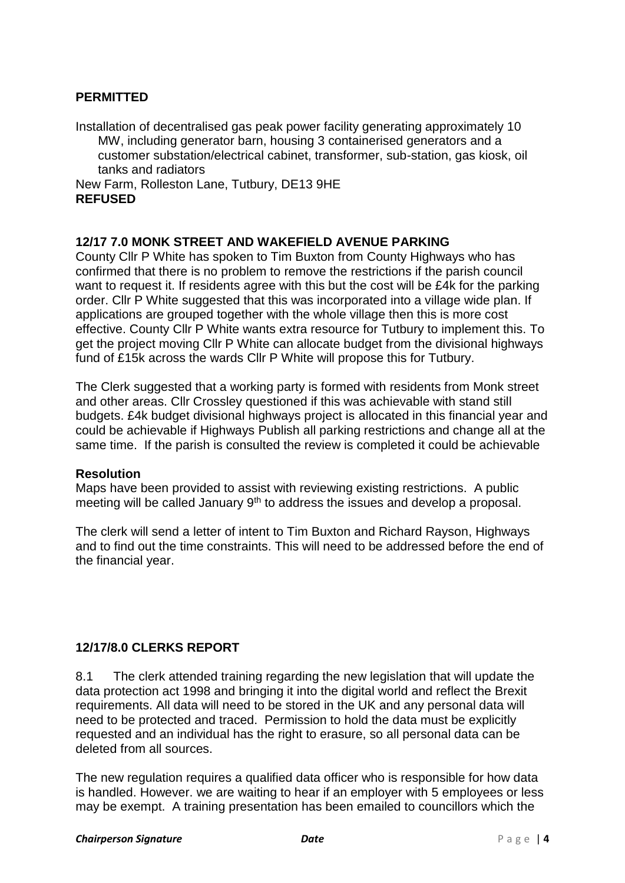# **PERMITTED**

Installation of decentralised gas peak power facility generating approximately 10 MW, including generator barn, housing 3 containerised generators and a customer substation/electrical cabinet, transformer, sub-station, gas kiosk, oil tanks and radiators

New Farm, Rolleston Lane, Tutbury, DE13 9HE **REFUSED**

### **12/17 7.0 MONK STREET AND WAKEFIELD AVENUE PARKING**

County Cllr P White has spoken to Tim Buxton from County Highways who has confirmed that there is no problem to remove the restrictions if the parish council want to request it. If residents agree with this but the cost will be £4k for the parking order. Cllr P White suggested that this was incorporated into a village wide plan. If applications are grouped together with the whole village then this is more cost effective. County Cllr P White wants extra resource for Tutbury to implement this. To get the project moving Cllr P White can allocate budget from the divisional highways fund of £15k across the wards Cllr P White will propose this for Tutbury.

The Clerk suggested that a working party is formed with residents from Monk street and other areas. Cllr Crossley questioned if this was achievable with stand still budgets. £4k budget divisional highways project is allocated in this financial year and could be achievable if Highways Publish all parking restrictions and change all at the same time. If the parish is consulted the review is completed it could be achievable

### **Resolution**

Maps have been provided to assist with reviewing existing restrictions. A public meeting will be called January 9<sup>th</sup> to address the issues and develop a proposal.

The clerk will send a letter of intent to Tim Buxton and Richard Rayson, Highways and to find out the time constraints. This will need to be addressed before the end of the financial year.

# **12/17/8.0 CLERKS REPORT**

8.1 The clerk attended training regarding the new legislation that will update the data protection act 1998 and bringing it into the digital world and reflect the Brexit requirements. All data will need to be stored in the UK and any personal data will need to be protected and traced. Permission to hold the data must be explicitly requested and an individual has the right to erasure, so all personal data can be deleted from all sources.

The new regulation requires a qualified data officer who is responsible for how data is handled. However. we are waiting to hear if an employer with 5 employees or less may be exempt. A training presentation has been emailed to councillors which the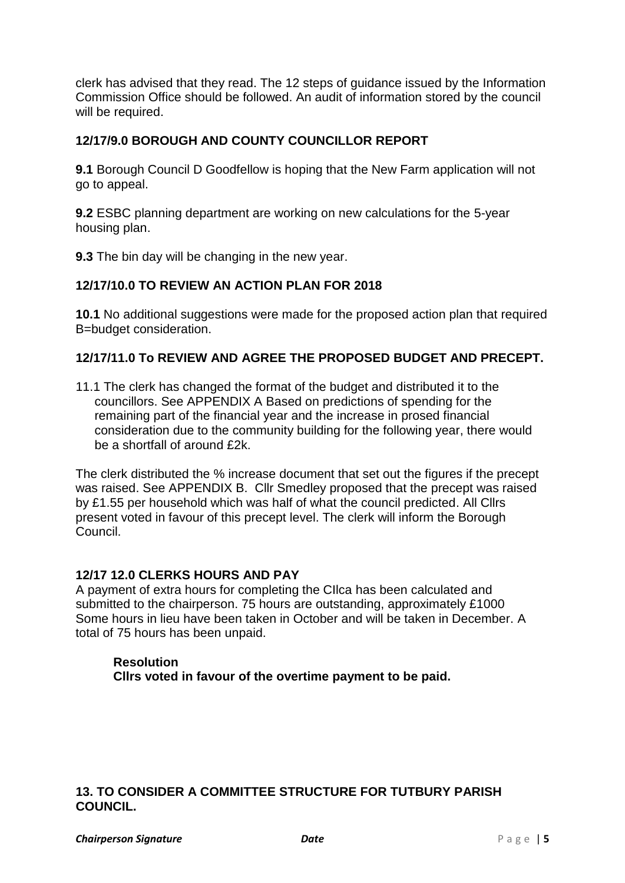clerk has advised that they read. The 12 steps of guidance issued by the Information Commission Office should be followed. An audit of information stored by the council will be required.

# **12/17/9.0 BOROUGH AND COUNTY COUNCILLOR REPORT**

**9.1** Borough Council D Goodfellow is hoping that the New Farm application will not go to appeal.

**9.2** ESBC planning department are working on new calculations for the 5-year housing plan.

**9.3** The bin day will be changing in the new year.

### **12/17/10.0 TO REVIEW AN ACTION PLAN FOR 2018**

**10.1** No additional suggestions were made for the proposed action plan that required B=budget consideration.

#### **12/17/11.0 To REVIEW AND AGREE THE PROPOSED BUDGET AND PRECEPT.**

11.1 The clerk has changed the format of the budget and distributed it to the councillors. See APPENDIX A Based on predictions of spending for the remaining part of the financial year and the increase in prosed financial consideration due to the community building for the following year, there would be a shortfall of around £2k.

The clerk distributed the % increase document that set out the figures if the precept was raised. See APPENDIX B. Cllr Smedley proposed that the precept was raised by £1.55 per household which was half of what the council predicted. All Cllrs present voted in favour of this precept level. The clerk will inform the Borough Council.

#### **12/17 12.0 CLERKS HOURS AND PAY**

A payment of extra hours for completing the CIlca has been calculated and submitted to the chairperson. 75 hours are outstanding, approximately £1000 Some hours in lieu have been taken in October and will be taken in December. A total of 75 hours has been unpaid.

### **Resolution Cllrs voted in favour of the overtime payment to be paid.**

#### **13. TO CONSIDER A COMMITTEE STRUCTURE FOR TUTBURY PARISH COUNCIL.**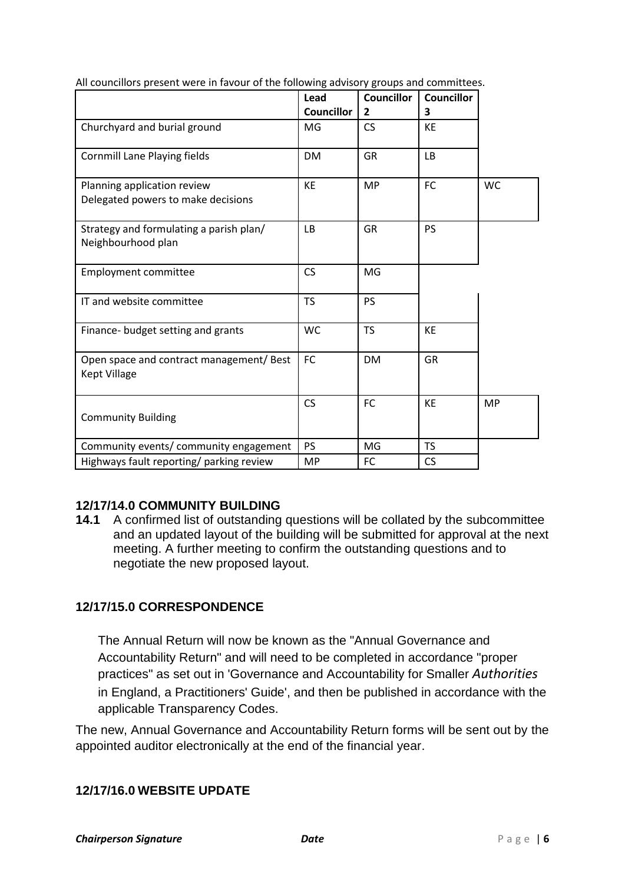|                                                                   | Lead              | <b>Councillor</b> | <b>Councillor</b> |           |
|-------------------------------------------------------------------|-------------------|-------------------|-------------------|-----------|
|                                                                   | <b>Councillor</b> | $\overline{2}$    | 3                 |           |
| Churchyard and burial ground                                      | MG                | <b>CS</b>         | <b>KE</b>         |           |
| <b>Cornmill Lane Playing fields</b>                               | <b>DM</b>         | <b>GR</b>         | <b>LB</b>         |           |
| Planning application review<br>Delegated powers to make decisions | <b>KE</b>         | <b>MP</b>         | <b>FC</b>         | <b>WC</b> |
| Strategy and formulating a parish plan/<br>Neighbourhood plan     | <b>LB</b>         | <b>GR</b>         | <b>PS</b>         |           |
| <b>Employment committee</b>                                       | CS                | MG                |                   |           |
| IT and website committee                                          | <b>TS</b>         | <b>PS</b>         |                   |           |
| Finance- budget setting and grants                                | <b>WC</b>         | <b>TS</b>         | <b>KE</b>         |           |
| Open space and contract management/ Best<br>Kept Village          | <b>FC</b>         | <b>DM</b>         | <b>GR</b>         |           |
| <b>Community Building</b>                                         | <b>CS</b>         | <b>FC</b>         | <b>KE</b>         | <b>MP</b> |
| Community events/ community engagement                            | <b>PS</b>         | MG                | <b>TS</b>         |           |
| Highways fault reporting/ parking review                          | <b>MP</b>         | FC                | <b>CS</b>         |           |

All councillors present were in favour of the following advisory groups and committees.

# **12/17/14.0 COMMUNITY BUILDING**

**14.1** A confirmed list of outstanding questions will be collated by the subcommittee and an updated layout of the building will be submitted for approval at the next meeting. A further meeting to confirm the outstanding questions and to negotiate the new proposed layout.

# **12/17/15.0 CORRESPONDENCE**

The Annual Return will now be known as the "Annual Governance and Accountability Return" and will need to be completed in accordance "proper practices" as set out in 'Governance and Accountability for Smaller *Authorities*  in England, a Practitioners' Guide', and then be published in accordance with the applicable Transparency Codes.

The new, Annual Governance and Accountability Return forms will be sent out by the appointed auditor electronically at the end of the financial year.

### **12/17/16.0 WEBSITE UPDATE**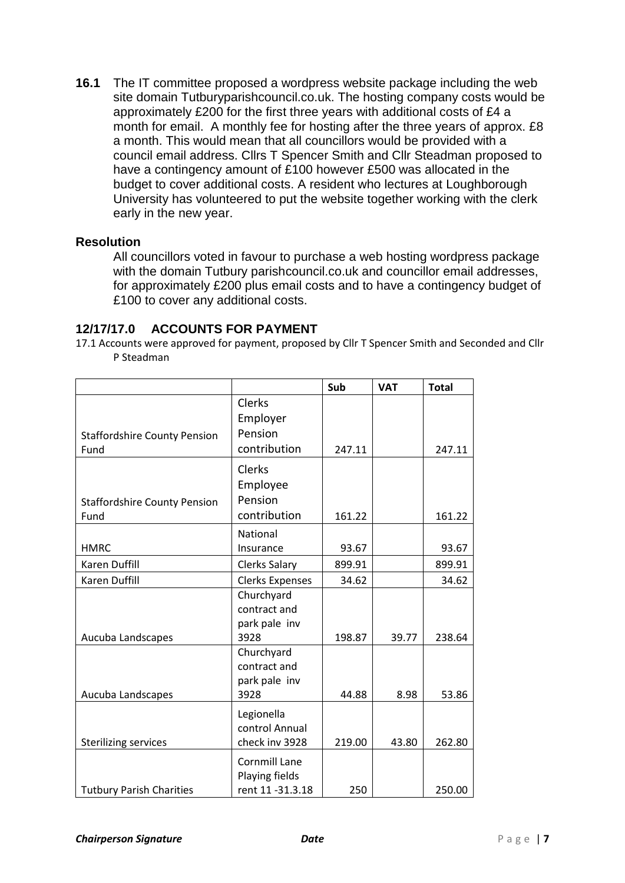**16.1** The IT committee proposed a wordpress website package including the web site domain Tutburyparishcouncil.co.uk. The hosting company costs would be approximately £200 for the first three years with additional costs of £4 a month for email. A monthly fee for hosting after the three years of approx. £8 a month. This would mean that all councillors would be provided with a council email address. Cllrs T Spencer Smith and Cllr Steadman proposed to have a contingency amount of £100 however £500 was allocated in the budget to cover additional costs. A resident who lectures at Loughborough University has volunteered to put the website together working with the clerk early in the new year.

#### **Resolution**

All councillors voted in favour to purchase a web hosting wordpress package with the domain Tutbury parishcouncil.co.uk and councillor email addresses, for approximately £200 plus email costs and to have a contingency budget of £100 to cover any additional costs.

#### **12/17/17.0 ACCOUNTS FOR PAYMENT**

17.1 Accounts were approved for payment, proposed by Cllr T Spencer Smith and Seconded and Cllr P Steadman

|                                             |                                                            | Sub    | <b>VAT</b> | <b>Total</b> |
|---------------------------------------------|------------------------------------------------------------|--------|------------|--------------|
| <b>Staffordshire County Pension</b><br>Fund | Clerks<br>Employer<br>Pension<br>contribution              | 247.11 |            |              |
|                                             |                                                            |        |            | 247.11       |
| <b>Staffordshire County Pension</b>         | Clerks<br>Employee<br>Pension                              |        |            |              |
| Fund                                        | contribution                                               | 161.22 |            | 161.22       |
| <b>HMRC</b>                                 | National<br>Insurance                                      | 93.67  |            | 93.67        |
| <b>Karen Duffill</b>                        | <b>Clerks Salary</b>                                       | 899.91 |            | 899.91       |
| <b>Karen Duffill</b>                        | <b>Clerks Expenses</b>                                     | 34.62  |            | 34.62        |
| Aucuba Landscapes                           | Churchyard<br>contract and<br>park pale inv<br>3928        | 198.87 | 39.77      | 238.64       |
| Aucuba Landscapes                           | Churchyard<br>contract and<br>park pale inv<br>3928        | 44.88  | 8.98       | 53.86        |
| <b>Sterilizing services</b>                 | Legionella<br>control Annual<br>check inv 3928             | 219.00 | 43.80      | 262.80       |
| <b>Tutbury Parish Charities</b>             | <b>Cornmill Lane</b><br>Playing fields<br>rent 11 -31.3.18 | 250    |            | 250.00       |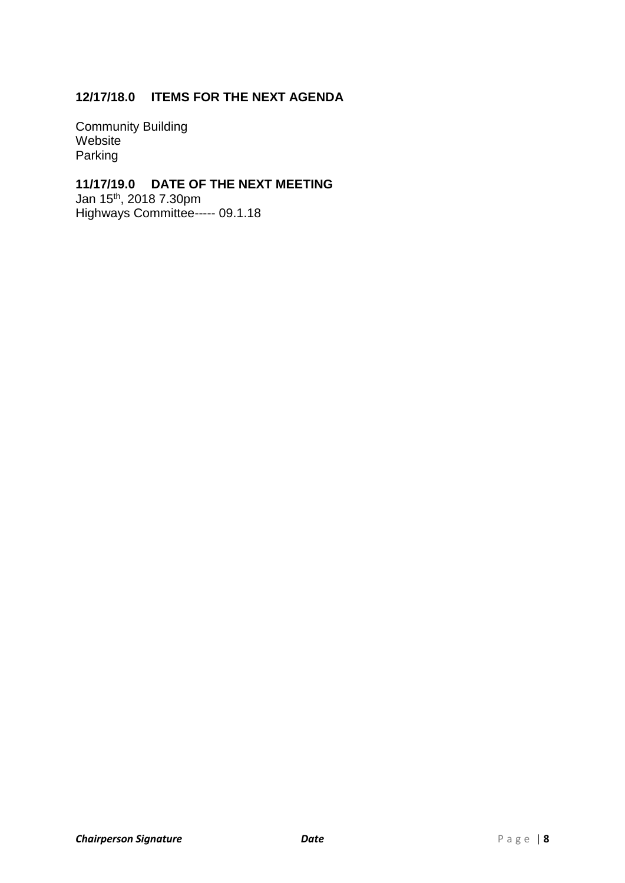# **12/17/18.0 ITEMS FOR THE NEXT AGENDA**

Community Building Website Parking

# **11/17/19.0 DATE OF THE NEXT MEETING**

Jan 15 th, 2018 7.30pm Highways Committee----- 09.1.18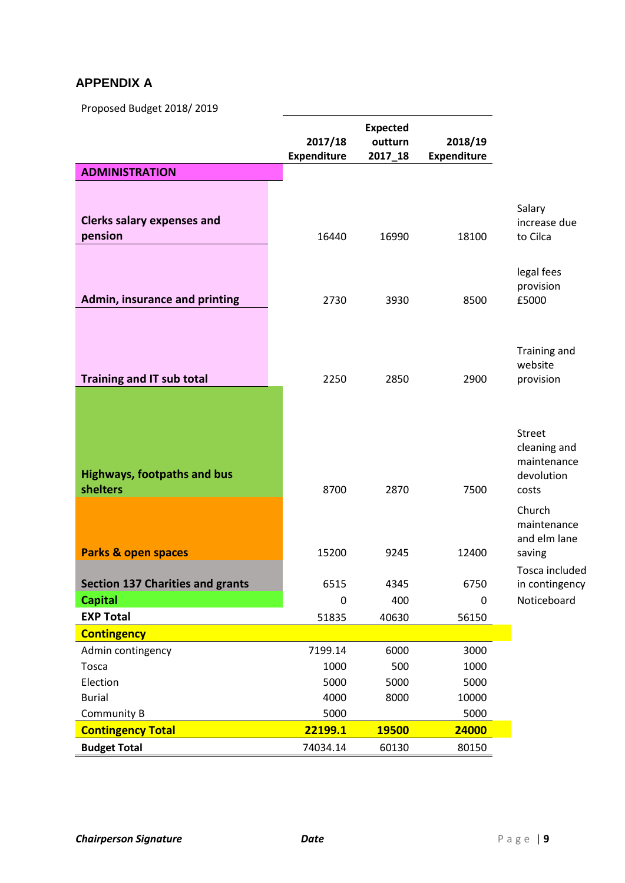# **APPENDIX A**

Proposed Budget 2018/ 2019

|                                                           | 2017/18<br><b>Expenditure</b> | <b>Expected</b><br>outturn<br>2017_18 | 2018/19<br><b>Expenditure</b> |                                                                     |
|-----------------------------------------------------------|-------------------------------|---------------------------------------|-------------------------------|---------------------------------------------------------------------|
| <b>ADMINISTRATION</b>                                     |                               |                                       |                               |                                                                     |
| <b>Clerks salary expenses and</b><br>pension              | 16440                         | 16990                                 | 18100                         | Salary<br>increase due<br>to Cilca                                  |
| Admin, insurance and printing                             | 2730                          | 3930                                  | 8500                          | legal fees<br>provision<br>£5000                                    |
| <b>Training and IT sub total</b>                          | 2250                          | 2850                                  | 2900                          | Training and<br>website<br>provision                                |
| <b>Highways, footpaths and bus</b><br><b>shelters</b>     | 8700                          | 2870                                  | 7500                          | <b>Street</b><br>cleaning and<br>maintenance<br>devolution<br>costs |
| <b>Parks &amp; open spaces</b>                            | 15200                         | 9245                                  | 12400                         | Church<br>maintenance<br>and elm lane<br>saving                     |
| <b>Section 137 Charities and grants</b><br><b>Capital</b> | 6515<br>0                     | 4345<br>400                           | 6750<br>$\mathbf 0$           | Tosca included<br>in contingency<br>Noticeboard                     |
| <b>EXP Total</b>                                          | 51835                         | 40630                                 | 56150                         |                                                                     |
| <b>Contingency</b>                                        |                               |                                       |                               |                                                                     |
| Admin contingency                                         | 7199.14                       | 6000                                  | 3000                          |                                                                     |
| Tosca                                                     | 1000                          | 500                                   | 1000                          |                                                                     |
| Election                                                  | 5000                          | 5000                                  | 5000                          |                                                                     |
| <b>Burial</b>                                             | 4000                          | 8000                                  | 10000                         |                                                                     |
| Community B                                               | 5000<br>22199.1               | <b>19500</b>                          | 5000<br>24000                 |                                                                     |
| <b>Contingency Total</b>                                  |                               |                                       |                               |                                                                     |
| <b>Budget Total</b>                                       | 74034.14                      | 60130                                 | 80150                         |                                                                     |